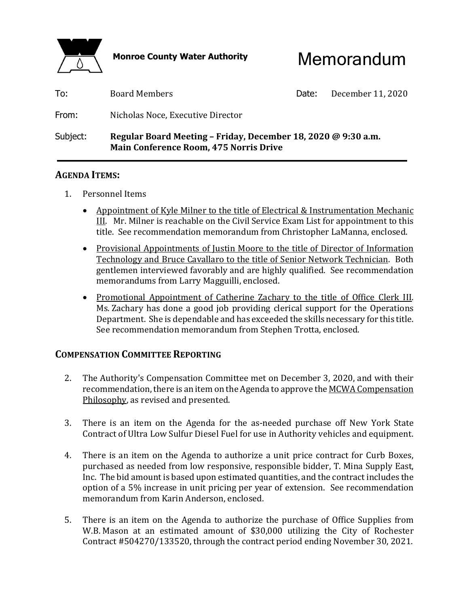

Monroe County Water Authority **Memorandum** 

| Subject: | Regular Board Meeting - Friday, December 18, 2020 @ 9:30 a.m.<br><b>Main Conference Room, 475 Norris Drive</b> |       |                   |
|----------|----------------------------------------------------------------------------------------------------------------|-------|-------------------|
| From:    | Nicholas Noce, Executive Director                                                                              |       |                   |
| To:      | <b>Board Members</b>                                                                                           | Date: | December 11, 2020 |

#### **AGENDA ITEMS:**

- 1. Personnel Items
	- Appointment of Kyle Milner to the title of Electrical & Instrumentation Mechanic III. Mr. Milner is reachable on the Civil Service Exam List for appointment to this title. See recommendation memorandum from Christopher LaManna, enclosed.
	- Provisional Appointments of Justin Moore to the title of Director of Information Technology and Bruce Cavallaro to the title of Senior Network Technician. Both gentlemen interviewed favorably and are highly qualified. See recommendation memorandums from Larry Magguilli, enclosed.
	- Promotional Appointment of Catherine Zachary to the title of Office Clerk III. Ms. Zachary has done a good job providing clerical support for the Operations Department. She is dependable and has exceeded the skills necessary for this title. See recommendation memorandum from Stephen Trotta, enclosed.

#### **COMPENSATION COMMITTEE REPORTING**

- 2. The Authority's Compensation Committee met on December 3, 2020, and with their recommendation, there is an item on the Agenda to approve the MCWA Compensation Philosophy, as revised and presented.
- 3. There is an item on the Agenda for the as-needed purchase off New York State Contract of Ultra Low Sulfur Diesel Fuel for use in Authority vehicles and equipment.
- 4. There is an item on the Agenda to authorize a unit price contract for Curb Boxes, purchased as needed from low responsive, responsible bidder, T. Mina Supply East, Inc. The bid amount is based upon estimated quantities, and the contract includes the option of a 5% increase in unit pricing per year of extension. See recommendation memorandum from Karin Anderson, enclosed.
- 5. There is an item on the Agenda to authorize the purchase of Office Supplies from W.B. Mason at an estimated amount of \$30,000 utilizing the City of Rochester Contract #504270/133520, through the contract period ending November 30, 2021.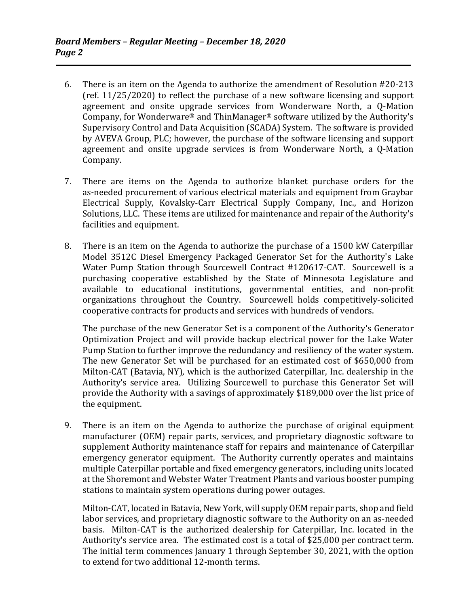- 6. There is an item on the Agenda to authorize the amendment of Resolution #20-213 (ref. 11/25/2020) to reflect the purchase of a new software licensing and support agreement and onsite upgrade services from Wonderware North, a Q-Mation Company, for Wonderware® and ThinManager® software utilized by the Authority's Supervisory Control and Data Acquisition (SCADA) System. The software is provided by AVEVA Group, PLC; however, the purchase of the software licensing and support agreement and onsite upgrade services is from Wonderware North, a Q-Mation Company.
- 7. There are items on the Agenda to authorize blanket purchase orders for the as-needed procurement of various electrical materials and equipment from Graybar Electrical Supply, Kovalsky-Carr Electrical Supply Company, Inc., and Horizon Solutions, LLC. These items are utilized for maintenance and repair of the Authority's facilities and equipment.
- 8. There is an item on the Agenda to authorize the purchase of a 1500 kW Caterpillar Model 3512C Diesel Emergency Packaged Generator Set for the Authority's Lake Water Pump Station through Sourcewell Contract #120617-CAT. Sourcewell is a purchasing cooperative established by the State of Minnesota Legislature and available to educational institutions, governmental entities, and non-profit organizations throughout the Country. Sourcewell holds competitively-solicited cooperative contracts for products and services with hundreds of vendors.

 The purchase of the new Generator Set is a component of the Authority's Generator Optimization Project and will provide backup electrical power for the Lake Water Pump Station to further improve the redundancy and resiliency of the water system. The new Generator Set will be purchased for an estimated cost of \$650,000 from Milton-CAT (Batavia, NY), which is the authorized Caterpillar, Inc. dealership in the Authority's service area. Utilizing Sourcewell to purchase this Generator Set will provide the Authority with a savings of approximately \$189,000 over the list price of the equipment.

 9. There is an item on the Agenda to authorize the purchase of original equipment manufacturer (OEM) repair parts, services, and proprietary diagnostic software to supplement Authority maintenance staff for repairs and maintenance of Caterpillar emergency generator equipment. The Authority currently operates and maintains multiple Caterpillar portable and fixed emergency generators, including units located at the Shoremont and Webster Water Treatment Plants and various booster pumping stations to maintain system operations during power outages.

 Milton-CAT, located in Batavia, New York, will supply OEM repair parts, shop and field labor services, and proprietary diagnostic software to the Authority on an as-needed basis. Milton-CAT is the authorized dealership for Caterpillar, Inc. located in the Authority's service area. The estimated cost is a total of \$25,000 per contract term. The initial term commences January 1 through September 30, 2021, with the option to extend for two additional 12-month terms.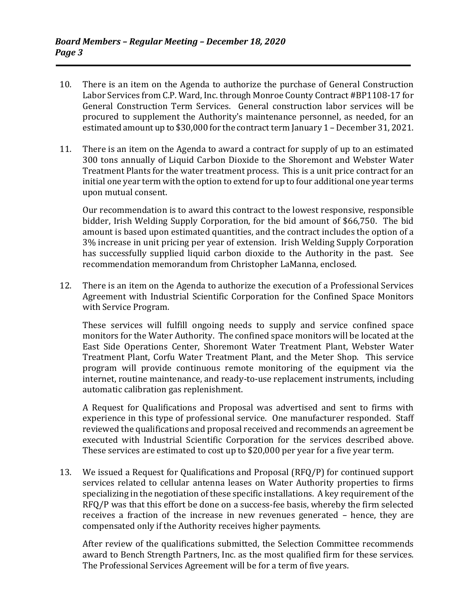- 10. There is an item on the Agenda to authorize the purchase of General Construction Labor Services from C.P. Ward, Inc. through Monroe County Contract #BP1108-17 for General Construction Term Services. General construction labor services will be procured to supplement the Authority's maintenance personnel, as needed, for an estimated amount up to \$30,000 for the contract term January 1 – December 31, 2021.
- 11. There is an item on the Agenda to award a contract for supply of up to an estimated 300 tons annually of Liquid Carbon Dioxide to the Shoremont and Webster Water Treatment Plants for the water treatment process. This is a unit price contract for an initial one year term with the option to extend for up to four additional one year terms upon mutual consent.

 Our recommendation is to award this contract to the lowest responsive, responsible bidder, Irish Welding Supply Corporation, for the bid amount of \$66,750. The bid amount is based upon estimated quantities, and the contract includes the option of a 3% increase in unit pricing per year of extension. Irish Welding Supply Corporation has successfully supplied liquid carbon dioxide to the Authority in the past. See recommendation memorandum from Christopher LaManna, enclosed.

 12. There is an item on the Agenda to authorize the execution of a Professional Services Agreement with Industrial Scientific Corporation for the Confined Space Monitors with Service Program.

 These services will fulfill ongoing needs to supply and service confined space monitors for the Water Authority. The confined space monitors will be located at the East Side Operations Center, Shoremont Water Treatment Plant, Webster Water Treatment Plant, Corfu Water Treatment Plant, and the Meter Shop. This service program will provide continuous remote monitoring of the equipment via the internet, routine maintenance, and ready-to-use replacement instruments, including automatic calibration gas replenishment.

 A Request for Qualifications and Proposal was advertised and sent to firms with experience in this type of professional service. One manufacturer responded. Staff reviewed the qualifications and proposal received and recommends an agreement be executed with Industrial Scientific Corporation for the services described above. These services are estimated to cost up to \$20,000 per year for a five year term.

 13. We issued a Request for Qualifications and Proposal (RFQ/P) for continued support services related to cellular antenna leases on Water Authority properties to firms specializing in the negotiation of these specific installations. A key requirement of the RFQ/P was that this effort be done on a success-fee basis, whereby the firm selected receives a fraction of the increase in new revenues generated – hence, they are compensated only if the Authority receives higher payments.

 After review of the qualifications submitted, the Selection Committee recommends award to Bench Strength Partners, Inc. as the most qualified firm for these services. The Professional Services Agreement will be for a term of five years.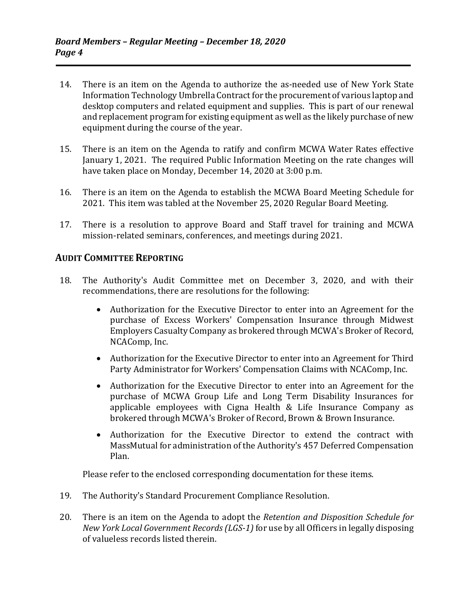- 14. There is an item on the Agenda to authorize the as-needed use of New York State Information Technology Umbrella Contract for the procurement of various laptop and desktop computers and related equipment and supplies. This is part of our renewal and replacement program for existing equipment as well as the likely purchase of new equipment during the course of the year.
- 15. There is an item on the Agenda to ratify and confirm MCWA Water Rates effective January 1, 2021. The required Public Information Meeting on the rate changes will have taken place on Monday, December 14, 2020 at 3:00 p.m.
- 16. There is an item on the Agenda to establish the MCWA Board Meeting Schedule for 2021. This item was tabled at the November 25, 2020 Regular Board Meeting.
- 17. There is a resolution to approve Board and Staff travel for training and MCWA mission-related seminars, conferences, and meetings during 2021.

#### **AUDIT COMMITTEE REPORTING**

- 18. The Authority's Audit Committee met on December 3, 2020, and with their recommendations, there are resolutions for the following:
	- Authorization for the Executive Director to enter into an Agreement for the purchase of Excess Workers' Compensation Insurance through Midwest Employers Casualty Company as brokered through MCWA's Broker of Record, NCAComp, Inc.
	- Authorization for the Executive Director to enter into an Agreement for Third Party Administrator for Workers' Compensation Claims with NCAComp, Inc.
	- Authorization for the Executive Director to enter into an Agreement for the purchase of MCWA Group Life and Long Term Disability Insurances for applicable employees with Cigna Health & Life Insurance Company as brokered through MCWA's Broker of Record, Brown & Brown Insurance.
	- Authorization for the Executive Director to extend the contract with MassMutual for administration of the Authority's 457 Deferred Compensation Plan.

Please refer to the enclosed corresponding documentation for these items.

- 19. The Authority's Standard Procurement Compliance Resolution.
- 20. There is an item on the Agenda to adopt the *Retention and Disposition Schedule for New York Local Government Records (LGS‐1)* for use by all Officers in legally disposing of valueless records listed therein.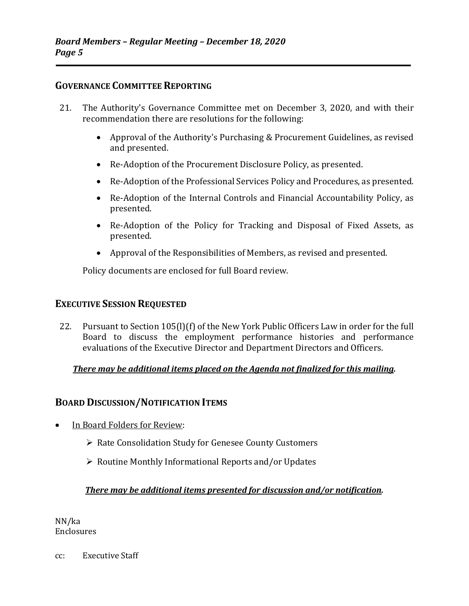#### **GOVERNANCE COMMITTEE REPORTING**

- 21. The Authority's Governance Committee met on December 3, 2020, and with their recommendation there are resolutions for the following:
	- Approval of the Authority's Purchasing & Procurement Guidelines, as revised and presented.
	- Re-Adoption of the Procurement Disclosure Policy, as presented.
	- Re-Adoption of the Professional Services Policy and Procedures, as presented.
	- Re-Adoption of the Internal Controls and Financial Accountability Policy, as presented.
	- Re-Adoption of the Policy for Tracking and Disposal of Fixed Assets, as presented.
	- Approval of the Responsibilities of Members, as revised and presented.

Policy documents are enclosed for full Board review.

#### **EXECUTIVE SESSION REQUESTED**

 22. Pursuant to Section 105(l)(f) of the New York Public Officers Law in order for the full Board to discuss the employment performance histories and performance evaluations of the Executive Director and Department Directors and Officers.

#### *There may be additional items placed on the Agenda not finalized for this mailing.*

### **BOARD DISCUSSION/NOTIFICATION ITEMS**

- In Board Folders for Review:
	- ▶ Rate Consolidation Study for Genesee County Customers
	- $\triangleright$  Routine Monthly Informational Reports and/or Updates

#### *There may be additional items presented for discussion and/or notification.*

NN/ka Enclosures

cc: Executive Staff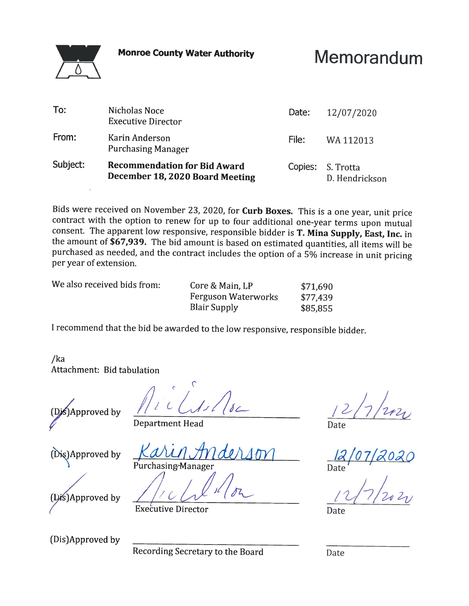**Monroe County Water Authority** 

## Memorandum

| To:      | Nicholas Noce<br><b>Executive Director</b>                             | Date:             | 12/07/2020     |
|----------|------------------------------------------------------------------------|-------------------|----------------|
| From:    | Karin Anderson<br><b>Purchasing Manager</b>                            | File:             | WA 112013      |
| Subject: | <b>Recommendation for Bid Award</b><br>December 18, 2020 Board Meeting | Copies: S. Trotta | D. Hendrickson |

Bids were received on November 23, 2020, for Curb Boxes. This is a one year, unit price contract with the option to renew for up to four additional one-year terms upon mutual consent. The apparent low responsive, responsible bidder is T. Mina Supply, East, Inc. in the amount of \$67,939. The bid amount is based on estimated quantities, all items will be purchased as needed, and the contract includes the option of a 5% increase in unit pricing per year of extension.

We also received bids from:

Core & Main, LP \$71,690 **Ferguson Waterworks** \$77,439 **Blair Supply** \$85,855

I recommend that the bid be awarded to the low responsive, responsible bidder.

 $/ka$ Attachment: Bid tabulation

SApproved by

**Department Head** 

(Dis)Approved by

Purchasing Manager

**Executive Director** 

Date

Date

(Dis)Approved by

(Dis)Approved by

Recording Secretary to the Board

Date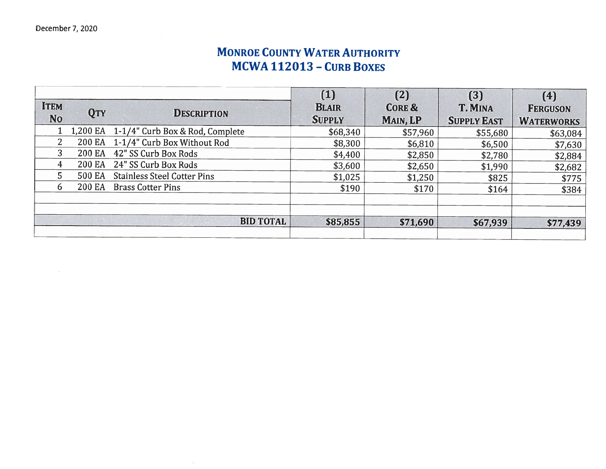### **MONROE COUNTY WATER AUTHORITY** MCWA 112013 - CURB BOXES

|                |               |                                    | (1)           | (2)               | (3)                | (4)               |
|----------------|---------------|------------------------------------|---------------|-------------------|--------------------|-------------------|
| <b>ITEM</b>    | <b>QTY</b>    | <b>DESCRIPTION</b>                 | <b>BLAIR</b>  | <b>CORE &amp;</b> | <b>T. MINA</b>     | <b>FERGUSON</b>   |
| <b>No</b>      |               |                                    | <b>SUPPLY</b> | MAIN, LP          | <b>SUPPLY EAST</b> | <b>WATERWORKS</b> |
|                | 1,200 EA      | 1-1/4" Curb Box & Rod, Complete    | \$68,340      | \$57,960          | \$55,680           | \$63,084          |
| $\overline{2}$ | 200 EA        | 1-1/4" Curb Box Without Rod        | \$8,300       | \$6,810           | \$6,500            | \$7,630           |
| 3              | <b>200 EA</b> | 42" SS Curb Box Rods               | \$4,400       | \$2,850           | \$2,780            | \$2,884           |
| 4              | 200 EA        | 24" SS Curb Box Rods               | \$3,600       | \$2,650           | \$1,990            | \$2,682           |
| 5              | 500 EA        | <b>Stainless Steel Cotter Pins</b> | \$1,025       | \$1,250           | \$825              | \$775             |
| 6              | 200 EA        | <b>Brass Cotter Pins</b>           | \$190         | \$170             | \$164              | \$384             |
|                |               | <b>BID TOTAL</b>                   | \$85,855      | \$71,690          | \$67,939           | \$77,439          |
|                |               |                                    |               |                   |                    |                   |

 $\sim$